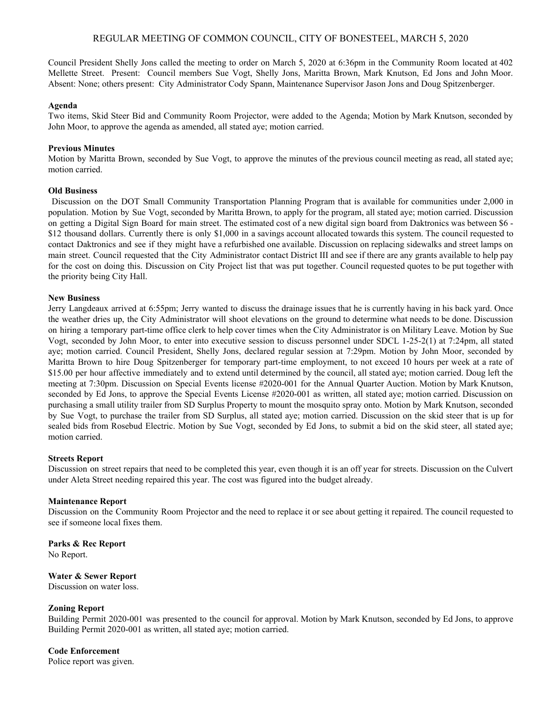# REGULAR MEETING OF COMMON COUNCIL, CITY OF BONESTEEL, MARCH 5, 2020

Council President Shelly Jons called the meeting to order on March 5, 2020 at 6:36pm in the Community Room located at 402 Mellette Street. Present: Council members Sue Vogt, Shelly Jons, Maritta Brown, Mark Knutson, Ed Jons and John Moor. Absent: None; others present: City Administrator Cody Spann, Maintenance Supervisor Jason Jons and Doug Spitzenberger.

#### **Agenda**

Two items, Skid Steer Bid and Community Room Projector, were added to the Agenda; Motion by Mark Knutson, seconded by John Moor, to approve the agenda as amended, all stated aye; motion carried.

#### **Previous Minutes**

Motion by Maritta Brown, seconded by Sue Vogt, to approve the minutes of the previous council meeting as read, all stated aye; motion carried.

## **Old Business**

Discussion on the DOT Small Community Transportation Planning Program that is available for communities under 2,000 in population. Motion by Sue Vogt, seconded by Maritta Brown, to apply for the program, all stated aye; motion carried. Discussion on getting a Digital Sign Board for main street. The estimated cost of a new digital sign board from Daktronics was between \$6 - \$12 thousand dollars. Currently there is only \$1,000 in a savings account allocated towards this system. The council requested to contact Daktronics and see if they might have a refurbished one available. Discussion on replacing sidewalks and street lamps on main street. Council requested that the City Administrator contact District III and see if there are any grants available to help pay for the cost on doing this. Discussion on City Project list that was put together. Council requested quotes to be put together with the priority being City Hall.

#### **New Business**

Jerry Langdeaux arrived at 6:55pm; Jerry wanted to discuss the drainage issues that he is currently having in his back yard. Once the weather dries up, the City Administrator will shoot elevations on the ground to determine what needs to be done. Discussion on hiring a temporary part-time office clerk to help cover times when the City Administrator is on Military Leave. Motion by Sue Vogt, seconded by John Moor, to enter into executive session to discuss personnel under SDCL 1-25-2(1) at 7:24pm, all stated aye; motion carried. Council President, Shelly Jons, declared regular session at 7:29pm. Motion by John Moor, seconded by Maritta Brown to hire Doug Spitzenberger for temporary part-time employment, to not exceed 10 hours per week at a rate of \$15.00 per hour affective immediately and to extend until determined by the council, all stated aye; motion carried. Doug left the meeting at 7:30pm. Discussion on Special Events license #2020-001 for the Annual Quarter Auction. Motion by Mark Knutson, seconded by Ed Jons, to approve the Special Events License #2020-001 as written, all stated aye; motion carried. Discussion on purchasing a small utility trailer from SD Surplus Property to mount the mosquito spray onto. Motion by Mark Knutson, seconded by Sue Vogt, to purchase the trailer from SD Surplus, all stated aye; motion carried. Discussion on the skid steer that is up for sealed bids from Rosebud Electric. Motion by Sue Vogt, seconded by Ed Jons, to submit a bid on the skid steer, all stated aye; motion carried.

## **Streets Report**

Discussion on street repairs that need to be completed this year, even though it is an off year for streets. Discussion on the Culvert under Aleta Street needing repaired this year. The cost was figured into the budget already.

#### **Maintenance Report**

Discussion on the Community Room Projector and the need to replace it or see about getting it repaired. The council requested to see if someone local fixes them.

**Parks & Rec Report** No Report.

## **Water & Sewer Report**

Discussion on water loss.

## **Zoning Report**

Building Permit 2020-001 was presented to the council for approval. Motion by Mark Knutson, seconded by Ed Jons, to approve Building Permit 2020-001 as written, all stated aye; motion carried.

#### **Code Enforcement**

Police report was given.